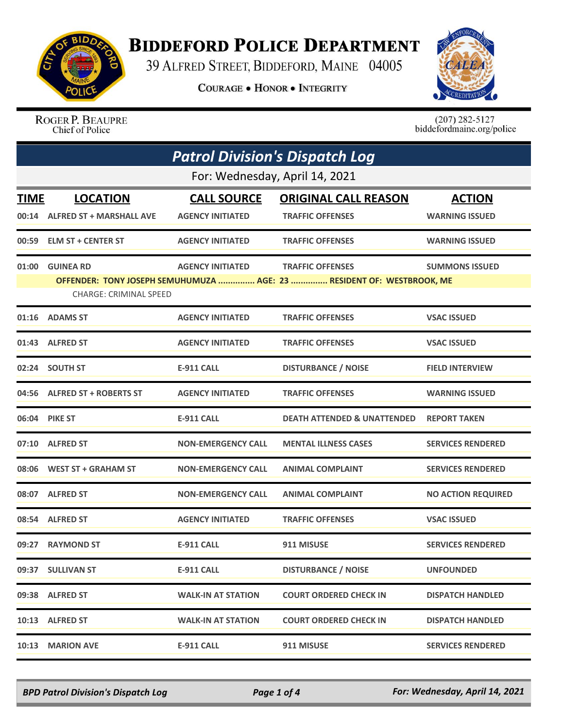

## **BIDDEFORD POLICE DEPARTMENT**

39 ALFRED STREET, BIDDEFORD, MAINE 04005

**COURAGE . HONOR . INTEGRITY** 



ROGER P. BEAUPRE Chief of Police

 $(207)$  282-5127<br>biddefordmaine.org/police

| <b>Patrol Division's Dispatch Log</b> |                                |                           |                                                                       |                           |  |
|---------------------------------------|--------------------------------|---------------------------|-----------------------------------------------------------------------|---------------------------|--|
|                                       | For: Wednesday, April 14, 2021 |                           |                                                                       |                           |  |
| TIME                                  | <b>LOCATION</b>                | <b>CALL SOURCE</b>        | <b>ORIGINAL CALL REASON</b>                                           | <b>ACTION</b>             |  |
|                                       | 00:14 ALFRED ST + MARSHALL AVE | <b>AGENCY INITIATED</b>   | <b>TRAFFIC OFFENSES</b>                                               | <b>WARNING ISSUED</b>     |  |
|                                       | 00:59 ELM ST + CENTER ST       | <b>AGENCY INITIATED</b>   | <b>TRAFFIC OFFENSES</b>                                               | <b>WARNING ISSUED</b>     |  |
|                                       | 01:00 GUINEA RD                | <b>AGENCY INITIATED</b>   | <b>TRAFFIC OFFENSES</b>                                               | <b>SUMMONS ISSUED</b>     |  |
|                                       | <b>CHARGE: CRIMINAL SPEED</b>  |                           | OFFENDER: TONY JOSEPH SEMUHUMUZA  AGE: 23  RESIDENT OF: WESTBROOK, ME |                           |  |
|                                       | 01:16 ADAMS ST                 | <b>AGENCY INITIATED</b>   | <b>TRAFFIC OFFENSES</b>                                               | <b>VSAC ISSUED</b>        |  |
|                                       | 01:43 ALFRED ST                | <b>AGENCY INITIATED</b>   | <b>TRAFFIC OFFENSES</b>                                               | <b>VSAC ISSUED</b>        |  |
|                                       | 02:24 SOUTH ST                 | <b>E-911 CALL</b>         | <b>DISTURBANCE / NOISE</b>                                            | <b>FIELD INTERVIEW</b>    |  |
|                                       | 04:56 ALFRED ST + ROBERTS ST   | <b>AGENCY INITIATED</b>   | <b>TRAFFIC OFFENSES</b>                                               | <b>WARNING ISSUED</b>     |  |
|                                       | 06:04 PIKE ST                  | <b>E-911 CALL</b>         | <b>DEATH ATTENDED &amp; UNATTENDED</b>                                | <b>REPORT TAKEN</b>       |  |
|                                       | 07:10 ALFRED ST                | <b>NON-EMERGENCY CALL</b> | <b>MENTAL ILLNESS CASES</b>                                           | <b>SERVICES RENDERED</b>  |  |
|                                       | 08:06 WEST ST + GRAHAM ST      | <b>NON-EMERGENCY CALL</b> | <b>ANIMAL COMPLAINT</b>                                               | <b>SERVICES RENDERED</b>  |  |
|                                       | 08:07 ALFRED ST                | <b>NON-EMERGENCY CALL</b> | <b>ANIMAL COMPLAINT</b>                                               | <b>NO ACTION REQUIRED</b> |  |
|                                       | 08:54 ALFRED ST                | <b>AGENCY INITIATED</b>   | <b>TRAFFIC OFFENSES</b>                                               | <b>VSAC ISSUED</b>        |  |
|                                       | 09:27 RAYMOND ST               | <b>E-911 CALL</b>         | 911 MISUSE                                                            | <b>SERVICES RENDERED</b>  |  |
|                                       | 09:37 SULLIVAN ST              | <b>E-911 CALL</b>         | <b>DISTURBANCE / NOISE</b>                                            | <b>UNFOUNDED</b>          |  |
|                                       | 09:38 ALFRED ST                | <b>WALK-IN AT STATION</b> | <b>COURT ORDERED CHECK IN</b>                                         | <b>DISPATCH HANDLED</b>   |  |
|                                       | 10:13 ALFRED ST                | <b>WALK-IN AT STATION</b> | <b>COURT ORDERED CHECK IN</b>                                         | <b>DISPATCH HANDLED</b>   |  |
| 10:13                                 | <b>MARION AVE</b>              | <b>E-911 CALL</b>         | 911 MISUSE                                                            | <b>SERVICES RENDERED</b>  |  |

*BPD Patrol Division's Dispatch Log Page 1 of 4 For: Wednesday, April 14, 2021*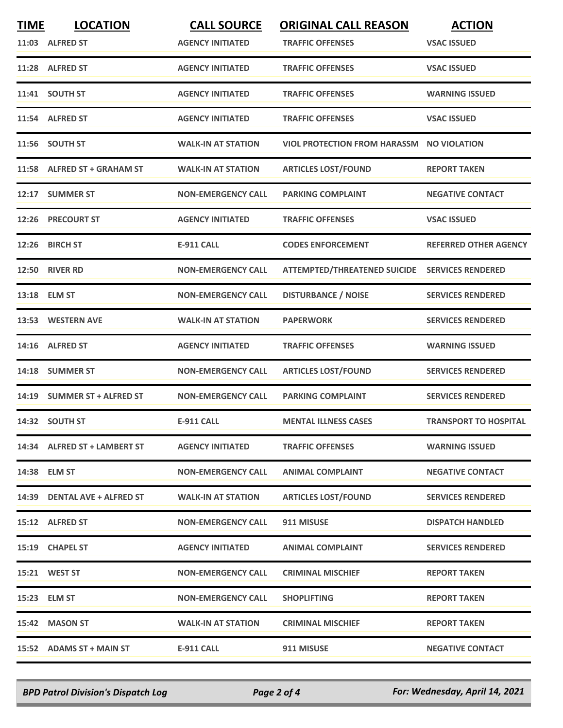| <b>TIME</b> | <b>LOCATION</b>              | <b>CALL SOURCE</b>        | <b>ORIGINAL CALL REASON</b>                      | <b>ACTION</b>                |
|-------------|------------------------------|---------------------------|--------------------------------------------------|------------------------------|
|             | 11:03 ALFRED ST              | <b>AGENCY INITIATED</b>   | <b>TRAFFIC OFFENSES</b>                          | <b>VSAC ISSUED</b>           |
|             | 11:28 ALFRED ST              | <b>AGENCY INITIATED</b>   | <b>TRAFFIC OFFENSES</b>                          | <b>VSAC ISSUED</b>           |
|             | 11:41 SOUTH ST               | <b>AGENCY INITIATED</b>   | <b>TRAFFIC OFFENSES</b>                          | <b>WARNING ISSUED</b>        |
|             | 11:54 ALFRED ST              | <b>AGENCY INITIATED</b>   | <b>TRAFFIC OFFENSES</b>                          | <b>VSAC ISSUED</b>           |
|             | 11:56 SOUTH ST               | <b>WALK-IN AT STATION</b> | <b>VIOL PROTECTION FROM HARASSM NO VIOLATION</b> |                              |
|             | 11:58 ALFRED ST + GRAHAM ST  | <b>WALK-IN AT STATION</b> | <b>ARTICLES LOST/FOUND</b>                       | <b>REPORT TAKEN</b>          |
| 12:17       | <b>SUMMER ST</b>             | <b>NON-EMERGENCY CALL</b> | <b>PARKING COMPLAINT</b>                         | <b>NEGATIVE CONTACT</b>      |
|             | 12:26 PRECOURT ST            | <b>AGENCY INITIATED</b>   | <b>TRAFFIC OFFENSES</b>                          | <b>VSAC ISSUED</b>           |
| 12:26       | <b>BIRCH ST</b>              | <b>E-911 CALL</b>         | <b>CODES ENFORCEMENT</b>                         | <b>REFERRED OTHER AGENCY</b> |
|             | <b>12:50 RIVER RD</b>        | <b>NON-EMERGENCY CALL</b> | <b>ATTEMPTED/THREATENED SUICIDE</b>              | <b>SERVICES RENDERED</b>     |
|             | 13:18 ELM ST                 | <b>NON-EMERGENCY CALL</b> | <b>DISTURBANCE / NOISE</b>                       | <b>SERVICES RENDERED</b>     |
|             | 13:53 WESTERN AVE            | <b>WALK-IN AT STATION</b> | <b>PAPERWORK</b>                                 | <b>SERVICES RENDERED</b>     |
|             | 14:16 ALFRED ST              | <b>AGENCY INITIATED</b>   | <b>TRAFFIC OFFENSES</b>                          | <b>WARNING ISSUED</b>        |
| 14:18       | <b>SUMMER ST</b>             | <b>NON-EMERGENCY CALL</b> | <b>ARTICLES LOST/FOUND</b>                       | <b>SERVICES RENDERED</b>     |
| 14:19       | <b>SUMMER ST + ALFRED ST</b> | <b>NON-EMERGENCY CALL</b> | <b>PARKING COMPLAINT</b>                         | <b>SERVICES RENDERED</b>     |
|             | 14:32 SOUTH ST               | <b>E-911 CALL</b>         | <b>MENTAL ILLNESS CASES</b>                      | <b>TRANSPORT TO HOSPITAL</b> |
|             | 14:34 ALFRED ST + LAMBERT ST | <b>AGENCY INITIATED</b>   | <b>TRAFFIC OFFENSES</b>                          | <b>WARNING ISSUED</b>        |
|             | 14:38 ELM ST                 | <b>NON-EMERGENCY CALL</b> | <b>ANIMAL COMPLAINT</b>                          | <b>NEGATIVE CONTACT</b>      |
|             | 14:39 DENTAL AVE + ALFRED ST | <b>WALK-IN AT STATION</b> | <b>ARTICLES LOST/FOUND</b>                       | <b>SERVICES RENDERED</b>     |
|             | 15:12 ALFRED ST              | <b>NON-EMERGENCY CALL</b> | 911 MISUSE                                       | <b>DISPATCH HANDLED</b>      |
|             | 15:19 CHAPEL ST              | <b>AGENCY INITIATED</b>   | <b>ANIMAL COMPLAINT</b>                          | <b>SERVICES RENDERED</b>     |
|             | 15:21 WEST ST                | <b>NON-EMERGENCY CALL</b> | <b>CRIMINAL MISCHIEF</b>                         | <b>REPORT TAKEN</b>          |
|             | 15:23 ELM ST                 | <b>NON-EMERGENCY CALL</b> | <b>SHOPLIFTING</b>                               | <b>REPORT TAKEN</b>          |
|             | 15:42 MASON ST               | <b>WALK-IN AT STATION</b> | <b>CRIMINAL MISCHIEF</b>                         | <b>REPORT TAKEN</b>          |
|             | 15:52 ADAMS ST + MAIN ST     | E-911 CALL                | 911 MISUSE                                       | <b>NEGATIVE CONTACT</b>      |

*BPD Patrol Division's Dispatch Log Page 2 of 4 For: Wednesday, April 14, 2021*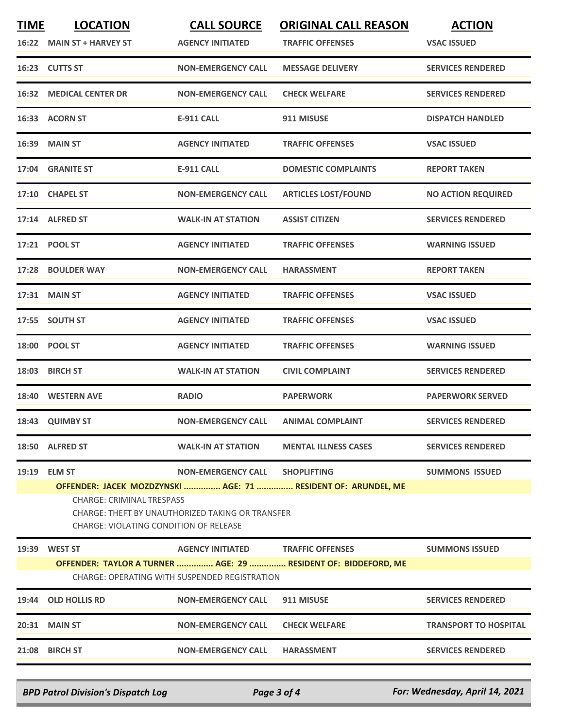| <b>TIME</b> | <b>LOCATION</b>                                                                                                                | <b>CALL SOURCE</b>        | <b>ORIGINAL CALL REASON</b>                                    | <b>ACTION</b>                |  |
|-------------|--------------------------------------------------------------------------------------------------------------------------------|---------------------------|----------------------------------------------------------------|------------------------------|--|
|             | 16:22 MAIN ST + HARVEY ST                                                                                                      | <b>AGENCY INITIATED</b>   | <b>TRAFFIC OFFENSES</b>                                        | <b>VSAC ISSUED</b>           |  |
|             | 16:23 CUTTS ST                                                                                                                 | <b>NON-EMERGENCY CALL</b> | <b>MESSAGE DELIVERY</b>                                        | <b>SERVICES RENDERED</b>     |  |
|             | <b>16:32 MEDICAL CENTER DR</b>                                                                                                 | <b>NON-EMERGENCY CALL</b> | <b>CHECK WELFARE</b>                                           | <b>SERVICES RENDERED</b>     |  |
|             | 16:33 ACORN ST                                                                                                                 | <b>E-911 CALL</b>         | 911 MISUSE                                                     | <b>DISPATCH HANDLED</b>      |  |
|             | <b>16:39 MAIN ST</b>                                                                                                           | <b>AGENCY INITIATED</b>   | <b>TRAFFIC OFFENSES</b>                                        | <b>VSAC ISSUED</b>           |  |
|             | 17:04 GRANITE ST                                                                                                               | <b>E-911 CALL</b>         | <b>DOMESTIC COMPLAINTS</b>                                     | <b>REPORT TAKEN</b>          |  |
|             | 17:10 CHAPEL ST                                                                                                                | <b>NON-EMERGENCY CALL</b> | <b>ARTICLES LOST/FOUND</b>                                     | <b>NO ACTION REQUIRED</b>    |  |
|             | 17:14 ALFRED ST                                                                                                                | <b>WALK-IN AT STATION</b> | <b>ASSIST CITIZEN</b>                                          | <b>SERVICES RENDERED</b>     |  |
|             | 17:21 POOL ST                                                                                                                  | <b>AGENCY INITIATED</b>   | <b>TRAFFIC OFFENSES</b>                                        | <b>WARNING ISSUED</b>        |  |
|             | 17:28 BOULDER WAY                                                                                                              | <b>NON-EMERGENCY CALL</b> | <b>HARASSMENT</b>                                              | <b>REPORT TAKEN</b>          |  |
| 17:31       | <b>MAIN ST</b>                                                                                                                 | <b>AGENCY INITIATED</b>   | <b>TRAFFIC OFFENSES</b>                                        | <b>VSAC ISSUED</b>           |  |
|             | 17:55 SOUTH ST                                                                                                                 | <b>AGENCY INITIATED</b>   | <b>TRAFFIC OFFENSES</b>                                        | <b>VSAC ISSUED</b>           |  |
|             | 18:00 POOL ST                                                                                                                  | <b>AGENCY INITIATED</b>   | <b>TRAFFIC OFFENSES</b>                                        | <b>WARNING ISSUED</b>        |  |
| 18:03       | <b>BIRCH ST</b>                                                                                                                | <b>WALK-IN AT STATION</b> | <b>CIVIL COMPLAINT</b>                                         | <b>SERVICES RENDERED</b>     |  |
|             | 18:40 WESTERN AVE                                                                                                              | <b>RADIO</b>              | <b>PAPERWORK</b>                                               | <b>PAPERWORK SERVED</b>      |  |
|             | 18:43 QUIMBY ST                                                                                                                | <b>NON-EMERGENCY CALL</b> | <b>ANIMAL COMPLAINT</b>                                        | <b>SERVICES RENDERED</b>     |  |
|             | 18:50 ALFRED ST                                                                                                                | <b>WALK-IN AT STATION</b> | <b>MENTAL ILLNESS CASES</b>                                    | <b>SERVICES RENDERED</b>     |  |
| 19:19       | <b>ELM ST</b>                                                                                                                  | <b>NON-EMERGENCY CALL</b> | <b>SHOPLIFTING</b>                                             | <b>SUMMONS ISSUED</b>        |  |
|             |                                                                                                                                |                           | OFFENDER: JACEK MOZDZYNSKI  AGE: 71  RESIDENT OF: ARUNDEL, ME  |                              |  |
|             | <b>CHARGE: CRIMINAL TRESPASS</b><br>CHARGE: THEFT BY UNAUTHORIZED TAKING OR TRANSFER<br>CHARGE: VIOLATING CONDITION OF RELEASE |                           |                                                                |                              |  |
| 19:39       | <b>WEST ST</b>                                                                                                                 | <b>AGENCY INITIATED</b>   | <b>TRAFFIC OFFENSES</b>                                        | <b>SUMMONS ISSUED</b>        |  |
|             |                                                                                                                                |                           | OFFENDER: TAYLOR A TURNER  AGE: 29  RESIDENT OF: BIDDEFORD, ME |                              |  |
|             | <b>CHARGE: OPERATING WITH SUSPENDED REGISTRATION</b>                                                                           |                           |                                                                |                              |  |
| 19:44       | <b>OLD HOLLIS RD</b>                                                                                                           | <b>NON-EMERGENCY CALL</b> | 911 MISUSE                                                     | <b>SERVICES RENDERED</b>     |  |
|             | 20:31 MAIN ST                                                                                                                  | <b>NON-EMERGENCY CALL</b> | <b>CHECK WELFARE</b>                                           | <b>TRANSPORT TO HOSPITAL</b> |  |
| 21:08       | <b>BIRCH ST</b>                                                                                                                | <b>NON-EMERGENCY CALL</b> | <b>HARASSMENT</b>                                              | <b>SERVICES RENDERED</b>     |  |
|             |                                                                                                                                |                           |                                                                |                              |  |

*BPD Patrol Division's Dispatch Log Page 3 of 4 For: Wednesday, April 14, 2021*